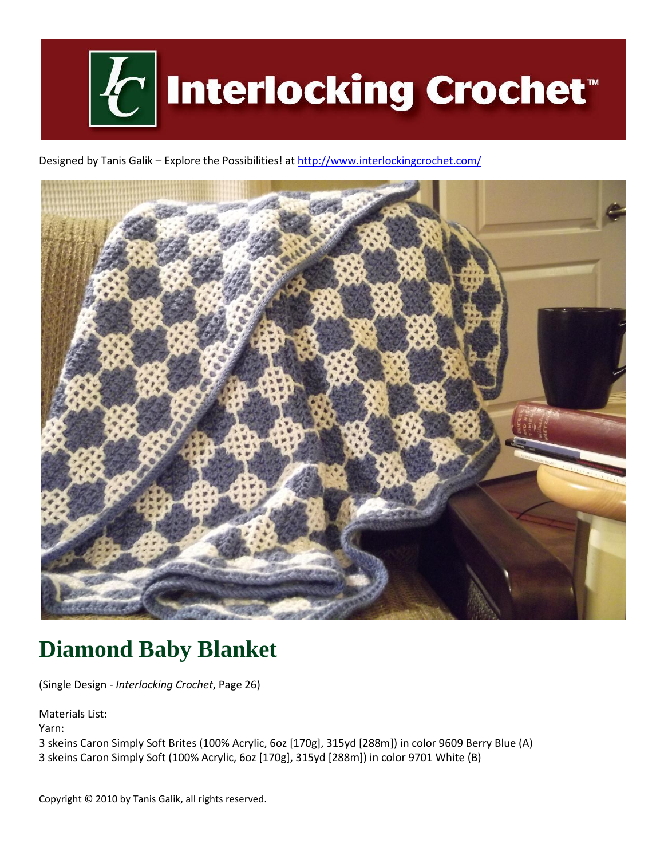

Designed by Tanis Galik - Explore the Possibilities! a[t http://www.interlockingcrochet.com/](http://www.interlockingcrochet.com/)



# **Diamond Baby Blanket**

(Single Design - *Interlocking Crochet*, Page 26)

Materials List:

Yarn:

3 skeins Caron Simply Soft Brites (100% Acrylic, 6oz [170g], 315yd [288m]) in color 9609 Berry Blue (A) 3 skeins Caron Simply Soft (100% Acrylic, 6oz [170g], 315yd [288m]) in color 9701 White (B)

Copyright © 2010 by Tanis Galik, all rights reserved.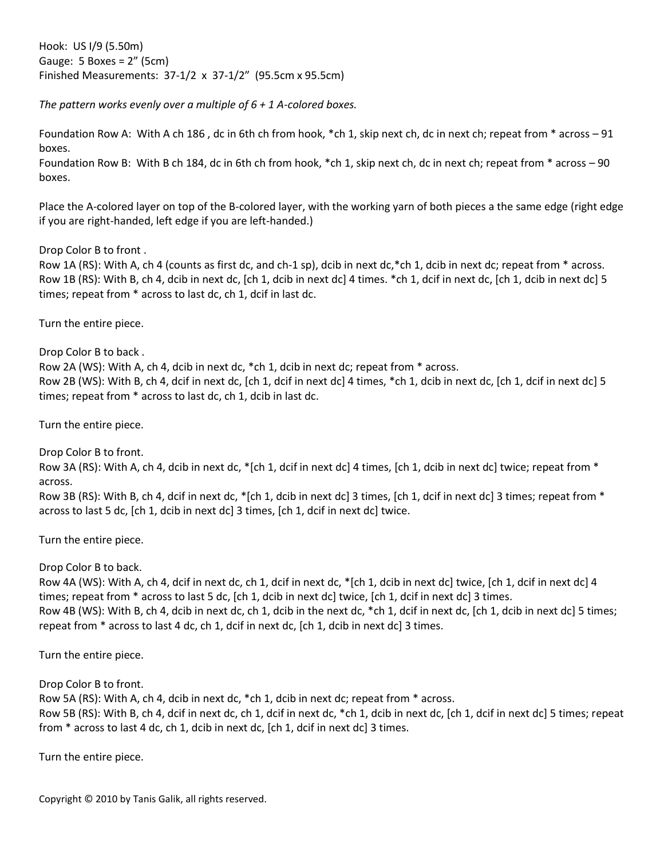Hook: US I/9 (5.50m) Gauge: 5 Boxes = 2" (5cm) Finished Measurements: 37-1/2 x 37-1/2" (95.5cm x 95.5cm)

*The pattern works evenly over a multiple of 6 + 1 A-colored boxes.*

Foundation Row A: With A ch 186 , dc in 6th ch from hook, \*ch 1, skip next ch, dc in next ch; repeat from \* across – 91 boxes.

Foundation Row B: With B ch 184, dc in 6th ch from hook, \*ch 1, skip next ch, dc in next ch; repeat from \* across – 90 boxes.

Place the A-colored layer on top of the B-colored layer, with the working yarn of both pieces a the same edge (right edge if you are right-handed, left edge if you are left-handed.)

Drop Color B to front .

Row 1A (RS): With A, ch 4 (counts as first dc, and ch-1 sp), dcib in next dc,\*ch 1, dcib in next dc; repeat from \* across. Row 1B (RS): With B, ch 4, dcib in next dc, [ch 1, dcib in next dc] 4 times. \*ch 1, dcif in next dc, [ch 1, dcib in next dc] 5 times; repeat from \* across to last dc, ch 1, dcif in last dc.

Turn the entire piece.

Drop Color B to back .

Row 2A (WS): With A, ch 4, dcib in next dc, \*ch 1, dcib in next dc; repeat from \* across. Row 2B (WS): With B, ch 4, dcif in next dc, [ch 1, dcif in next dc] 4 times, \*ch 1, dcib in next dc, [ch 1, dcif in next dc] 5 times; repeat from \* across to last dc, ch 1, dcib in last dc.

Turn the entire piece.

Drop Color B to front.

Row 3A (RS): With A, ch 4, dcib in next dc, \*[ch 1, dcif in next dc] 4 times, [ch 1, dcib in next dc] twice; repeat from \* across.

Row 3B (RS): With B, ch 4, dcif in next dc,  $\ast$  [ch 1, dcib in next dc] 3 times, [ch 1, dcif in next dc] 3 times; repeat from  $\ast$ across to last 5 dc, [ch 1, dcib in next dc] 3 times, [ch 1, dcif in next dc] twice.

Turn the entire piece.

Drop Color B to back.

Row 4A (WS): With A, ch 4, dcif in next dc, ch 1, dcif in next dc, \*[ch 1, dcib in next dc] twice, [ch 1, dcif in next dc] 4 times; repeat from \* across to last 5 dc, [ch 1, dcib in next dc] twice, [ch 1, dcif in next dc] 3 times. Row 4B (WS): With B, ch 4, dcib in next dc, ch 1, dcib in the next dc, \*ch 1, dcif in next dc, [ch 1, dcib in next dc] 5 times; repeat from \* across to last 4 dc, ch 1, dcif in next dc, [ch 1, dcib in next dc] 3 times.

Turn the entire piece.

Drop Color B to front.

Row 5A (RS): With A, ch 4, dcib in next dc, \*ch 1, dcib in next dc; repeat from \* across. Row 5B (RS): With B, ch 4, dcif in next dc, ch 1, dcif in next dc, \*ch 1, dcib in next dc, [ch 1, dcif in next dc] 5 times; repeat from \* across to last 4 dc, ch 1, dcib in next dc, [ch 1, dcif in next dc] 3 times.

Turn the entire piece.

Copyright © 2010 by Tanis Galik, all rights reserved.